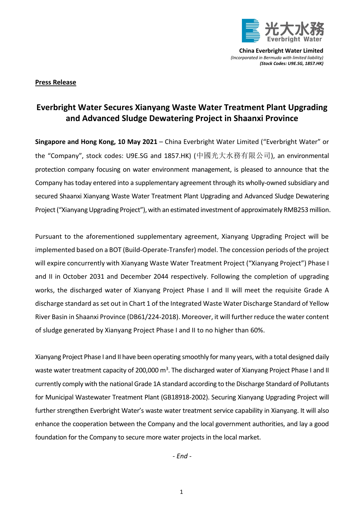

**China Everbright Water Limited** *(Incorporated in Bermuda with limited liability) (Stock Codes: U9E.SG, 1857.HK)*

## **Press Release**

## **Everbright Water Secures Xianyang Waste Water Treatment Plant Upgrading and Advanced Sludge Dewatering Project in Shaanxi Province**

**Singapore and Hong Kong, 10 May 2021** – China Everbright Water Limited ("Everbright Water" or the "Company", stock codes: U9E.SG and 1857.HK) (中國光大水務有限公司), an environmental protection company focusing on water environment management, is pleased to announce that the Company has today entered into a supplementary agreement through its wholly-owned subsidiary and secured Shaanxi Xianyang Waste Water Treatment Plant Upgrading and Advanced Sludge Dewatering Project ("Xianyang Upgrading Project"), with an estimated investment of approximately RMB253million.

Pursuant to the aforementioned supplementary agreement, Xianyang Upgrading Project will be implemented based on a BOT (Build-Operate-Transfer) model. The concession periods of the project will expire concurrently with Xianyang Waste Water Treatment Project ("Xianyang Project") Phase I and II in October 2031 and December 2044 respectively. Following the completion of upgrading works, the discharged water of Xianyang Project Phase I and II will meet the requisite Grade A discharge standard as set out in Chart 1 of the Integrated Waste Water Discharge Standard of Yellow River Basin in Shaanxi Province (DB61/224-2018). Moreover, it will further reduce the water content of sludge generated by Xianyang Project Phase I and II to no higher than 60%.

Xianyang Project Phase I and II have been operating smoothly for many years, with a total designed daily waste water treatment capacity of 200,000 m<sup>3</sup>. The discharged water of Xianyang Project Phase I and II currently comply with the national Grade 1A standard according to the Discharge Standard of Pollutants for Municipal Wastewater Treatment Plant (GB18918-2002). Securing Xianyang Upgrading Project will further strengthen Everbright Water's waste water treatment service capability in Xianyang. It will also enhance the cooperation between the Company and the local government authorities, and lay a good foundation for the Company to secure more water projects in the local market.

*- End -*